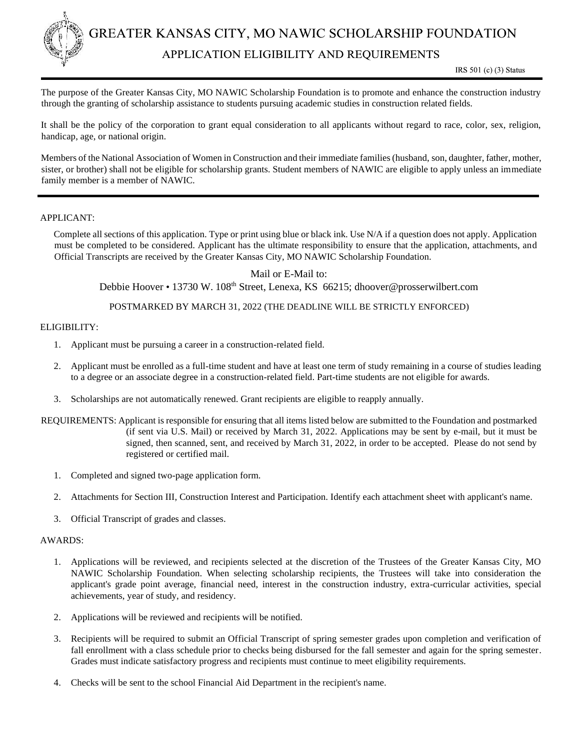

The purpose of the Greater Kansas City, MO NAWIC Scholarship Foundation is to promote and enhance the construction industry through the granting of scholarship assistance to students pursuing academic studies in construction related fields.

It shall be the policy of the corporation to grant equal consideration to all applicants without regard to race, color, sex, religion, handicap, age, or national origin.

Members of the National Association of Women in Construction and their immediate families (husband, son, daughter, father, mother, sister, or brother) shall not be eligible for scholarship grants. Student members of NAWIC are eligible to apply unless an immediate family member is a member of NAWIC.

### APPLICANT:

Complete all sections of this application. Type or print using blue or black ink. Use N/A if a question does not apply. Application must be completed to be considered. Applicant has the ultimate responsibility to ensure that the application, attachments, and Official Transcripts are received by the Greater Kansas City, MO NAWIC Scholarship Foundation.

Mail or E-Mail to:

Debbie Hoover • 13730 W. 108th Street, Lenexa, KS 66215; dhoover@prosserwilbert.com

POSTMARKED BY MARCH 31, 2022 (THE DEADLINE WILL BE STRICTLY ENFORCED)

### ELIGIBILITY:

- 1. Applicant must be pursuing a career in a construction-related field.
- 2. Applicant must be enrolled as a full-time student and have at least one term of study remaining in a course of studies leading to a degree or an associate degree in a construction-related field. Part-time students are not eligible for awards.
- 3. Scholarships are not automatically renewed. Grant recipients are eligible to reapply annually.
- REQUIREMENTS: Applicant is responsible for ensuring that all items listed below are submitted to the Foundation and postmarked (if sent via U.S. Mail) or received by March 31, 2022. Applications may be sent by e-mail, but it must be signed, then scanned, sent, and received by March 31, 2022, in order to be accepted. Please do not send by registered or certified mail.
	- 1. Completed and signed two-page application form.
	- 2. Attachments for Section III, Construction Interest and Participation. Identify each attachment sheet with applicant's name.
	- 3. Official Transcript of grades and classes.

#### AWARDS:

- 1. Applications will be reviewed, and recipients selected at the discretion of the Trustees of the Greater Kansas City, MO NAWIC Scholarship Foundation. When selecting scholarship recipients, the Trustees will take into consideration the applicant's grade point average, financial need, interest in the construction industry, extra-curricular activities, special achievements, year of study, and residency.
- 2. Applications will be reviewed and recipients will be notified.
- 3. Recipients will be required to submit an Official Transcript of spring semester grades upon completion and verification of fall enrollment with a class schedule prior to checks being disbursed for the fall semester and again for the spring semester. Grades must indicate satisfactory progress and recipients must continue to meet eligibility requirements.
- 4. Checks will be sent to the school Financial Aid Department in the recipient's name.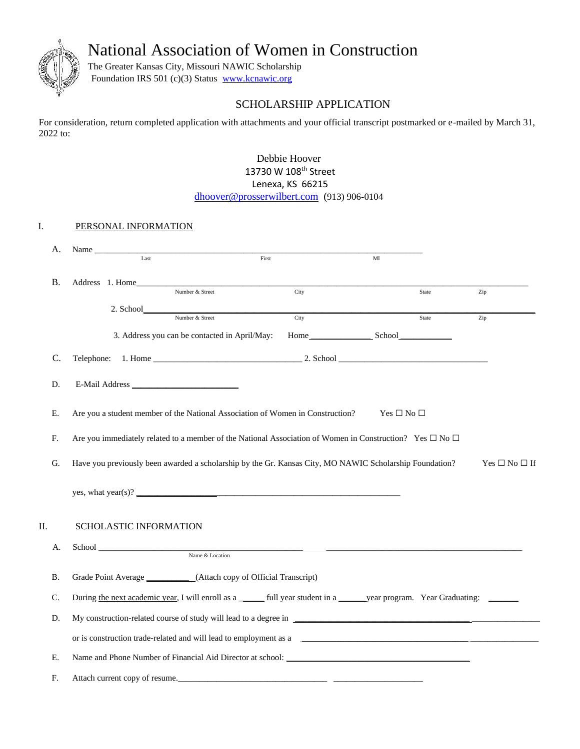National Association of Women in Construction



The Greater Kansas City, Missouri NAWIC Scholarship Foundation IRS 501 (c)(3) Status www.kcnawic.org

## SCHOLARSHIP APPLICATION

For consideration, return completed application with attachments and your official transcript postmarked or e-mailed by March 31, 2022 to:

> Debbie Hoover 13730 W 108<sup>th</sup> Street Lenexa, KS 66215 dhoover@prosserwilbert.com (913) 906-0104

## I. PERSONAL INFORMATION

| А.         | Name                                                                                                                             |                 |                    |       |     |  |  |  |  |
|------------|----------------------------------------------------------------------------------------------------------------------------------|-----------------|--------------------|-------|-----|--|--|--|--|
|            | Last                                                                                                                             | First           | MI                 |       |     |  |  |  |  |
|            |                                                                                                                                  |                 |                    |       |     |  |  |  |  |
| Β.         | Address 1. Home<br>Number & Street                                                                                               | City            |                    | State | Zip |  |  |  |  |
|            |                                                                                                                                  |                 |                    |       |     |  |  |  |  |
|            | Number & Street                                                                                                                  | City            |                    | State | Zip |  |  |  |  |
|            | 3. Address you can be contacted in April/May:                                                                                    |                 | Home School School |       |     |  |  |  |  |
| C.         |                                                                                                                                  |                 |                    |       |     |  |  |  |  |
| D.         |                                                                                                                                  |                 |                    |       |     |  |  |  |  |
| Е.         | Are you a student member of the National Association of Women in Construction?<br>Yes $\square$ No $\square$                     |                 |                    |       |     |  |  |  |  |
| ${\bf F}.$ | Are you immediately related to a member of the National Association of Women in Construction? Yes $\Box$ No $\Box$               |                 |                    |       |     |  |  |  |  |
| G.         | Have you previously been awarded a scholarship by the Gr. Kansas City, MO NAWIC Scholarship Foundation?<br>$Yes \Box No \Box If$ |                 |                    |       |     |  |  |  |  |
|            |                                                                                                                                  |                 |                    |       |     |  |  |  |  |
| П.         | SCHOLASTIC INFORMATION                                                                                                           |                 |                    |       |     |  |  |  |  |
| А.         |                                                                                                                                  |                 |                    |       |     |  |  |  |  |
|            |                                                                                                                                  | Name & Location |                    |       |     |  |  |  |  |
| <b>B.</b>  | Grade Point Average ____________(Attach copy of Official Transcript)                                                             |                 |                    |       |     |  |  |  |  |
| C.         | During the next academic year, I will enroll as a ______ full year student in a _____ year program. Year Graduating: ______      |                 |                    |       |     |  |  |  |  |
| D.         |                                                                                                                                  |                 |                    |       |     |  |  |  |  |
|            | or is construction trade-related and will lead to employment as a                                                                |                 |                    |       |     |  |  |  |  |
| Ε.         |                                                                                                                                  |                 |                    |       |     |  |  |  |  |
| F.         | Attach current copy of resume.                                                                                                   |                 |                    |       |     |  |  |  |  |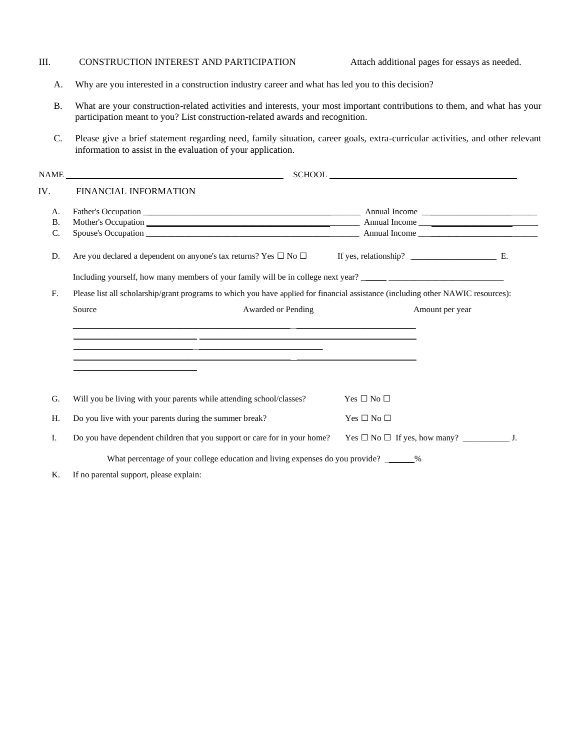### III. CONSTRUCTION INTEREST AND PARTICIPATION Attach additional pages for essays as needed.

- A. Why are you interested in a construction industry career and what has led you to this decision?
- B. What are your construction-related activities and interests, your most important contributions to them, and what has your participation meant to you? List construction-related awards and recognition.
- C. Please give a brief statement regarding need, family situation, career goals, extra-curricular activities, and other relevant information to assist in the evaluation of your application.

|                | NAME                                                                                                                                                                                    |                      |  |  |  |  |
|----------------|-----------------------------------------------------------------------------------------------------------------------------------------------------------------------------------------|----------------------|--|--|--|--|
| IV.            | FINANCIAL INFORMATION                                                                                                                                                                   |                      |  |  |  |  |
| А.             |                                                                                                                                                                                         |                      |  |  |  |  |
| <b>B.</b>      |                                                                                                                                                                                         |                      |  |  |  |  |
| C.             |                                                                                                                                                                                         |                      |  |  |  |  |
| D.             | Are you declared a dependent on anyone's tax returns? Yes $\Box$ No $\Box$                                                                                                              |                      |  |  |  |  |
|                |                                                                                                                                                                                         |                      |  |  |  |  |
| F <sub>r</sub> | Please list all scholarship/grant programs to which you have applied for financial assistance (including other NAWIC resources):                                                        |                      |  |  |  |  |
|                | Source<br>Awarded or Pending                                                                                                                                                            | Amount per year      |  |  |  |  |
|                | <u> 1989 - Andrea San Aonaichte ann an Cathair ann an Comhair ann an Chomhair ann an Chomhair ann an Chomhair an</u>                                                                    |                      |  |  |  |  |
|                | <u> 1989 - Andrea San Andrea San Andrea San Andrea San Andrea San Andrea San Andrea San Andrea San Andrea San A</u><br><u> 1989 - Johann John Stone, Amerikaansk politiker (* 1908)</u> |                      |  |  |  |  |
| G.             | Will you be living with your parents while attending school/classes?                                                                                                                    | Yes $\Box$ No $\Box$ |  |  |  |  |
| H.             | Do you live with your parents during the summer break?                                                                                                                                  | Yes $\Box$ No $\Box$ |  |  |  |  |
| Ι.             | Do you have dependent children that you support or care for in your home?                                                                                                               |                      |  |  |  |  |
|                | What percentage of your college education and living expenses do you provide? ______%                                                                                                   |                      |  |  |  |  |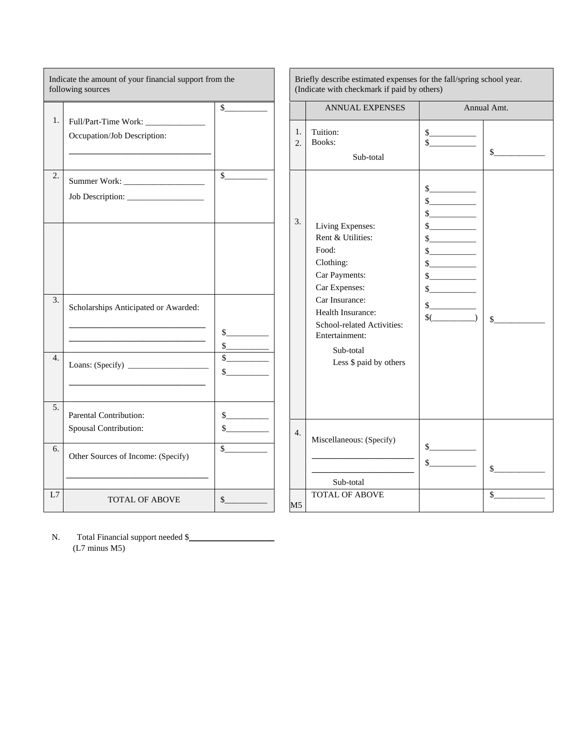| Indicate the amount of your financial support from the<br>following sources |                                                 |                                         |                  | Briefly describe estimated expenses for the fall/spring school year.<br>(Indicate with checkmark if paid by others) |                                   |              |  |
|-----------------------------------------------------------------------------|-------------------------------------------------|-----------------------------------------|------------------|---------------------------------------------------------------------------------------------------------------------|-----------------------------------|--------------|--|
| 1.                                                                          |                                                 | $\sim$                                  | 1.               | <b>ANNUAL EXPENSES</b><br>Tuition:                                                                                  | s                                 | Annual Amt.  |  |
|                                                                             | Occupation/Job Description:                     |                                         | 2.               | Books:<br>Sub-total                                                                                                 | $\sim$                            | $\mathbb{S}$ |  |
| 2.                                                                          |                                                 | $\mathbb{S}$                            | 3.               | Living Expenses:                                                                                                    | s<br>s<br>s<br>s                  |              |  |
|                                                                             |                                                 |                                         |                  | Rent & Utilities:<br>Food:<br>Clothing:<br>Car Payments:<br>Car Expenses:                                           | s<br>$\frac{1}{2}$<br>s<br>s<br>s |              |  |
| 3.                                                                          | Scholarships Anticipated or Awarded:            | $\mathbb{S}$ and $\mathbb{S}$<br>$\sim$ |                  | Car Insurance:<br>Health Insurance:<br>School-related Activities:<br>Entertainment:<br>Sub-total                    | s<br>$\sqrt[6]{\hspace{1cm}}$     | $\mathbb{S}$ |  |
| $\overline{4}$ .<br>5 <sub>1</sub>                                          |                                                 | $\mathbb{S}$                            |                  | Less \$ paid by others                                                                                              |                                   |              |  |
|                                                                             | Parental Contribution:<br>Spousal Contribution: | $\mathbb{S}$ and $\mathbb{S}$<br>s      | $\overline{4}$ . | Miscellaneous: (Specify)                                                                                            |                                   |              |  |
| 6.                                                                          | Other Sources of Income: (Specify)              | $\mathbb{S}$                            |                  | Sub-total                                                                                                           | s<br>s                            | s            |  |
| L7                                                                          | <b>TOTAL OF ABOVE</b>                           | $\mathbb{S}$ and $\mathbb{S}$           | M <sub>5</sub>   | <b>TOTAL OF ABOVE</b>                                                                                               |                                   | $\mathbb{S}$ |  |

N. Total Financial support needed \$\_\_\_\_\_\_\_\_\_\_\_\_\_\_\_\_\_\_\_\_ (L7 minus M5)